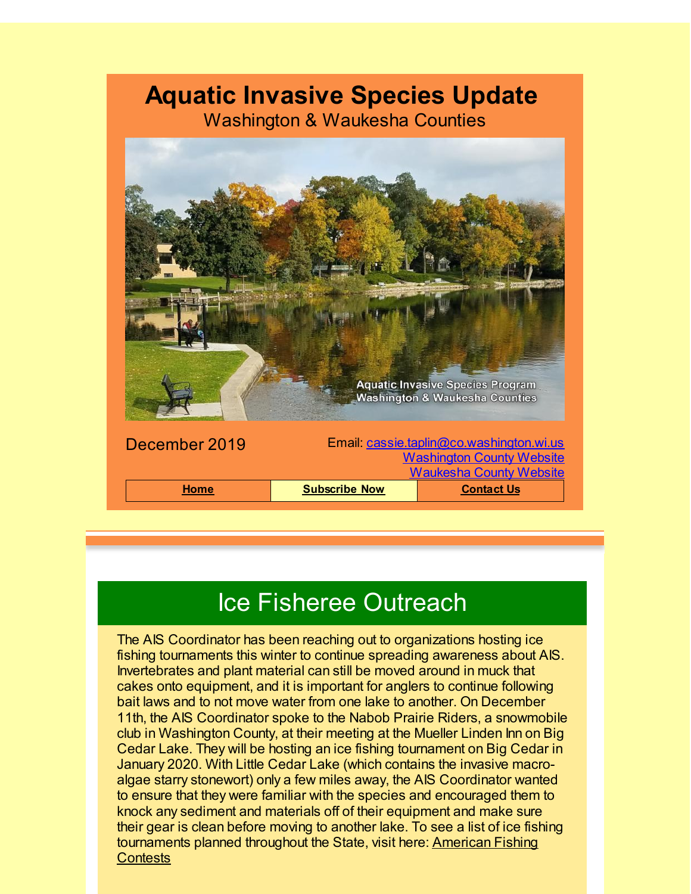### **Aquatic Invasive Species Update**

Washington & Waukesha Counties



## Ice Fisheree Outreach

The AIS Coordinator has been reaching out to organizations hosting ice fishing tournaments this winter to continue spreading awareness about AIS. Invertebrates and plant material can still be moved around in muck that cakes onto equipment, and it is important for anglers to continue following bait laws and to not move water from one lake to another. On December 11th, the AIS Coordinator spoke to the Nabob Prairie Riders, a snowmobile club in Washington County, at their meeting at the Mueller Linden Inn on Big Cedar Lake. They will be hosting an ice fishing tournament on Big Cedar in January 2020. With Little Cedar Lake (which contains the invasive macroalgae starry stonewort) only a few miles away, the AIS Coordinator wanted to ensure that they were familiar with the species and encouraged them to knock any sediment and materials off of their equipment and make sure their gear is clean before moving to another lake. To see a list of ice fishing [tournaments](http://www.americanfishingcontests.com/Contest/List.aspx?Rank=All&State=WI&utm_source=Aquatic+Invasive+Species+December+2019&utm_campaign=AIS+January+2018+Update&utm_medium=email) planned throughout the State, visit here: American Fishing **Contests**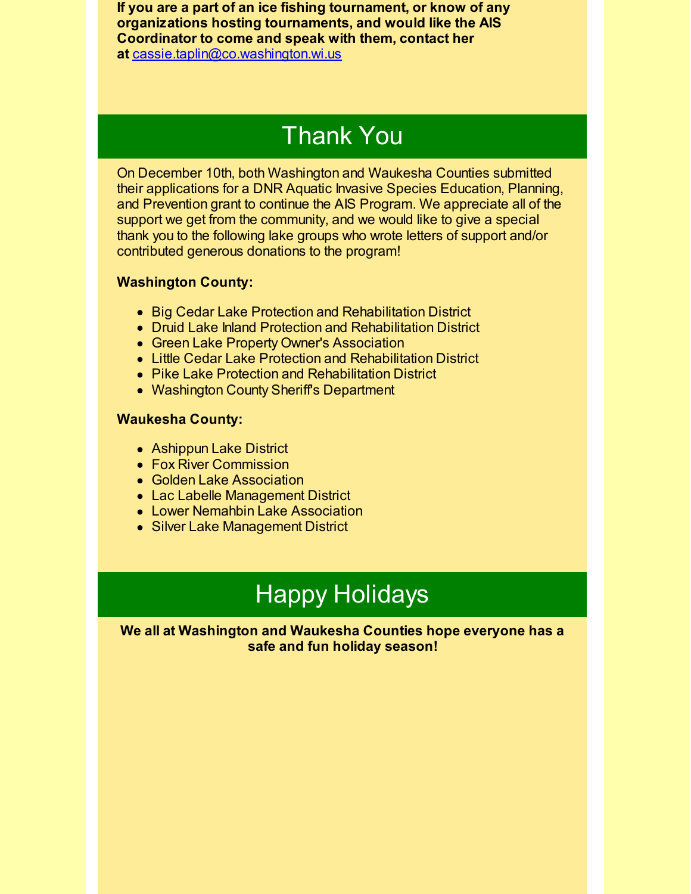**If you are a part of an ice fishing tournament, or know of any organizations hosting tournaments, and would like the AIS Coordinator to come and speak with them, contact her at** [cassie.taplin@co.washington.wi.us](mailto:cassie.taplin@co.washington.wi.us)

## Thank You

On December 10th, both Washington and Waukesha Counties submitted their applications for a DNR Aquatic Invasive Species Education, Planning, and Prevention grant to continue the AIS Program. We appreciate all of the support we get from the community, and we would like to give a special thank you to the following lake groups who wrote letters of support and/or contributed generous donations to the program!

#### **Washington County:**

- Big Cedar Lake Protection and Rehabilitation District
- Druid Lake Inland Protection and Rehabilitation District
- Green Lake Property Owner's Association
- Little Cedar Lake Protection and Rehabilitation District
- Pike Lake Protection and Rehabilitation District
- Washington County Sheriff's Department

#### **Waukesha County:**

- Ashippun Lake District
- Fox River Commission
- Golden Lake Association
- Lac Labelle Management District
- **Lower Nemahbin Lake Association**
- Silver Lake Management District

# Happy Holidays

**We all at Washington and Waukesha Counties hope everyone has a safe and fun holiday season!**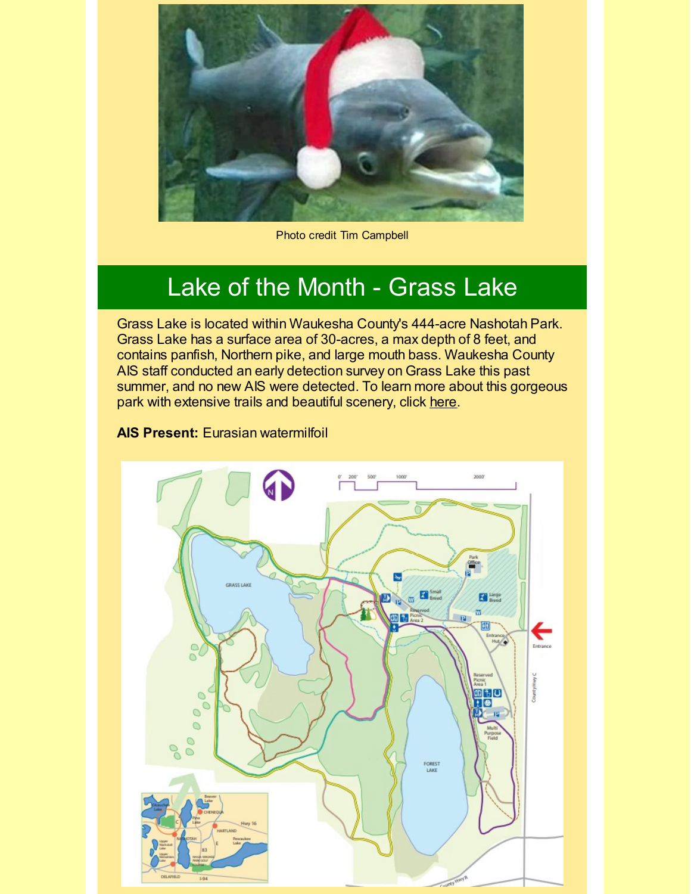

Photo credit Tim Campbell

### Lake of the Month - Grass Lake

Grass Lake is located within Waukesha County's 444-acre Nashotah Park. Grass Lake has a surface area of 30-acres, a max depth of 8 feet, and contains panfish, Northern pike, and large mouth bass. Waukesha County AIS staff conducted an early detection survey on Grass Lake this past summer, and no new AIS were detected. To learn more about this gorgeous park with extensive trails and beautiful scenery, click [here](https://www.waukeshacounty.gov/nashotah/?utm_source=Aquatic+Invasive+Species+December+2019&utm_campaign=AIS+January+2018+Update&utm_medium=email).

#### **AIS Present:** Eurasian watermilfoil